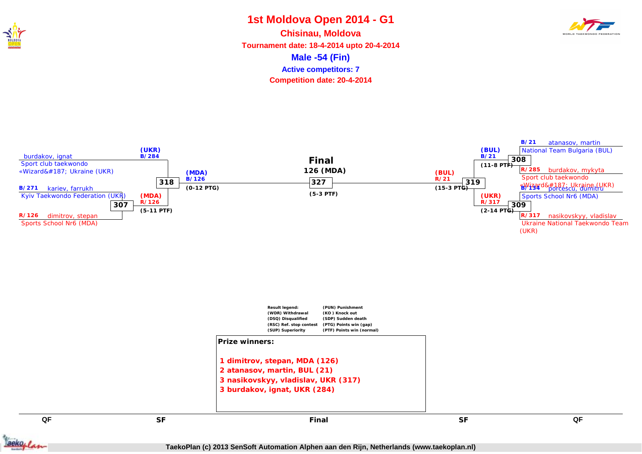

#### **1st Moldova Open 2014 - G1 Male -54 (Fin) Chisinau, Moldova Tournament date: 18-4-2014 upto 20-4-2014 Competition date: 20-4-2014 Active competitors: 7**







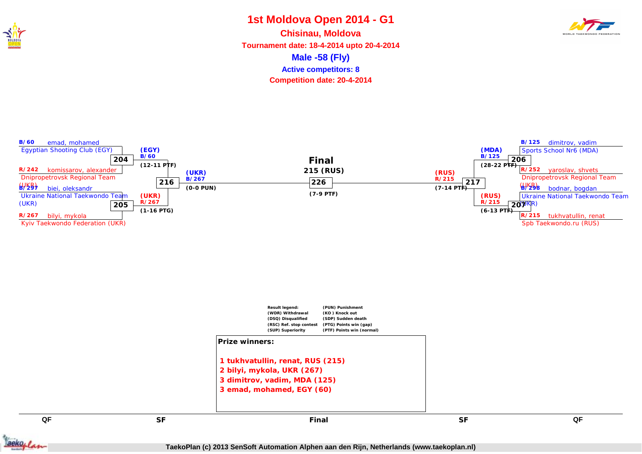

#### **1st Moldova Open 2014 - G1 Male -58 (Fly) Chisinau, Moldova Tournament date: 18-4-2014 upto 20-4-2014 Competition date: 20-4-2014 Active competitors: 8**



**B/60** emad, mohamed Egyptian Shooting Club (EGY) **R/242** komissarov, alexander Dnipropetrovsk Regional Team  $645$ **204 (EGY) B/60 (12-11 PTF) B/125** dimitrov, vadim Sports School Nr6 (MDA) **R/252** yaroslav, shvets Dnipropetrovsk Regional Team  $452$ **206 (MDA) B/125 (28-22 PTF) B/297** biei, oleksandr Ukraine National Taekwondo Team (UKR) **R/267** bilyi, mykola Kyiv Taekwondo Federation (UKR) **205 (UKR) R/267 (1-16 PTG) B/298** bodnar, bogdan Ukraine National Taekwondo Team **20**<sup> $\psi$ KR)</sup> **R/215** tukhvatullin, renat Spb Taekwondo.ru (RUS) **(RUS) R/215 (6-13 PTF) 216 (UKR) B/267 (0-0 PUN) 217 (RUS) R/215 (7-14 PTF) 226 (7-9 PTF) Final 215 (RUS)**



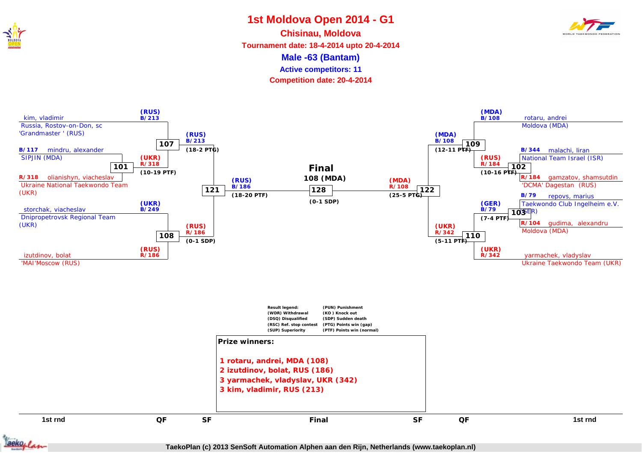

**Male -63 (Bantam) Chisinau, Moldova Tournament date: 18-4-2014 upto 20-4-2014 Active competitors: 11**

**Competition date: 20-4-2014**



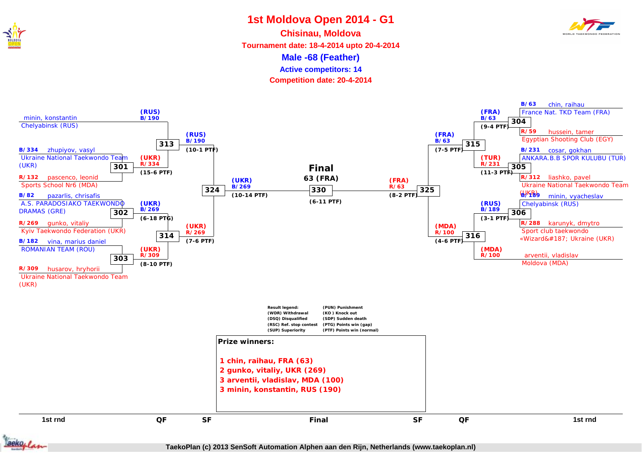

**Male -68 (Feather) Chisinau, Moldova Tournament date: 18-4-2014 upto 20-4-2014 Active competitors: 14**

**Competition date: 20-4-2014**



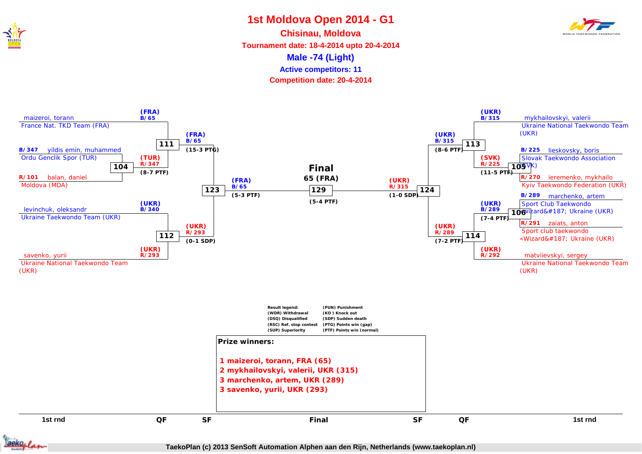

**Male -74 (Light) Chisinau, Moldova Tournament date: 18-4-2014 upto 20-4-2014 Competition date: 20-4-2014 Active competitors: 11**



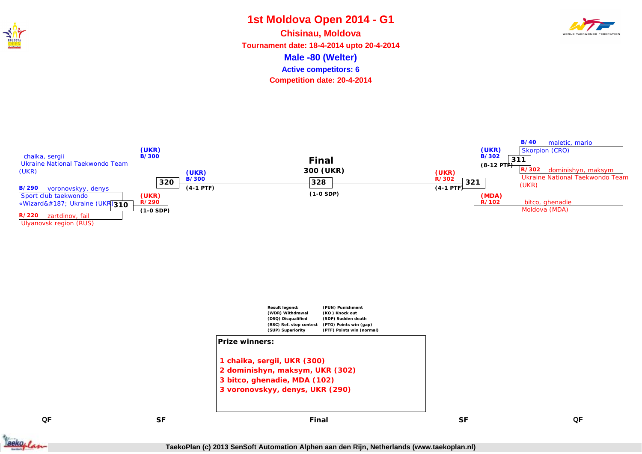

# **1st Moldova Open 2014 - G1 Male -80 (Welter) Chisinau, Moldova Active competitors: 6**



**Tournament date: 18-4-2014 upto 20-4-2014 Competition date: 20-4-2014**







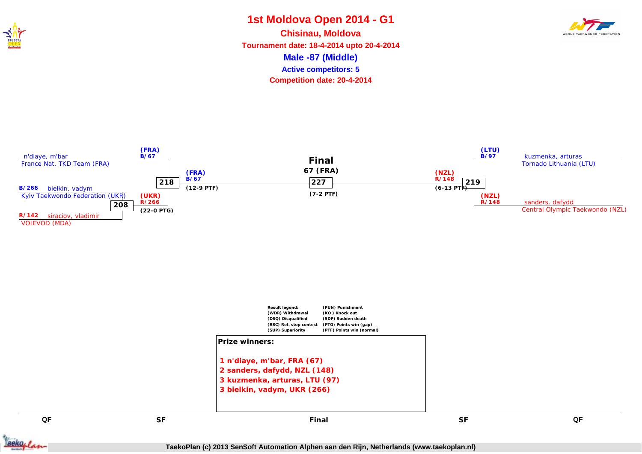

### **1st Moldova Open 2014 - G1 Male -87 (Middle) Chisinau, Moldova Tournament date: 18-4-2014 upto 20-4-2014 Active competitors: 5**



**Competition date: 20-4-2014**



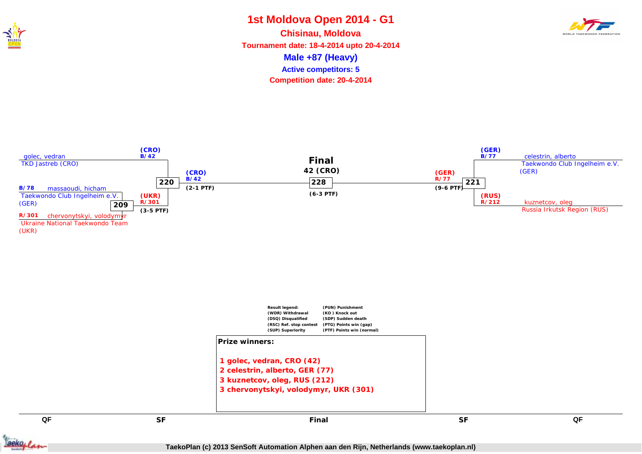

#### **1st Moldova Open 2014 - G1 Male +87 (Heavy) Chisinau, Moldova Tournament date: 18-4-2014 upto 20-4-2014 Competition date: 20-4-2014 Active competitors: 5**





(UKR)



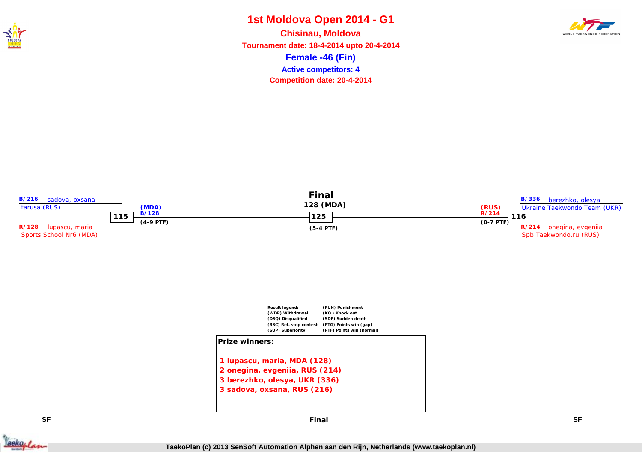

#### **1st Moldova Open 2014 - G1 Female -46 (Fin) Chisinau, Moldova Tournament date: 18-4-2014 upto 20-4-2014 Competition date: 20-4-2014 Active competitors: 4**









**SF SF Final**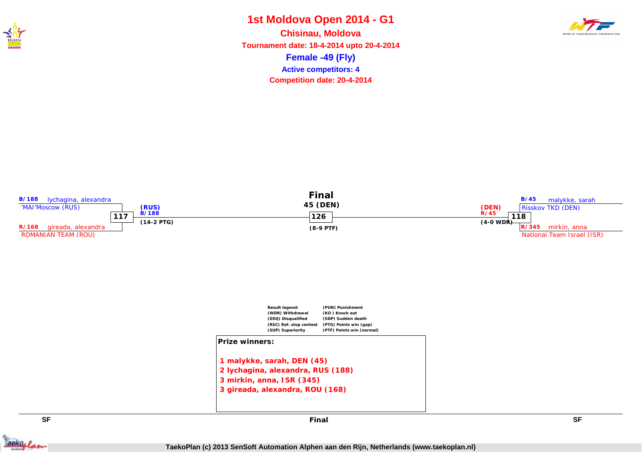

## **1st Moldova Open 2014 - G1 Female -49 (Fly) Chisinau, Moldova Active competitors: 4**



**Tournament date: 18-4-2014 upto 20-4-2014 Competition date: 20-4-2014**







**SF SF Final**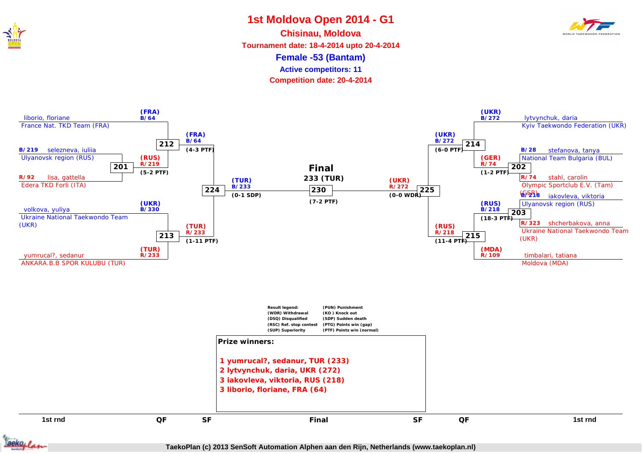

**Female -53 (Bantam) Chisinau, Moldova Tournament date: 18-4-2014 upto 20-4-2014 Active competitors: 11**

**Competition date: 20-4-2014**



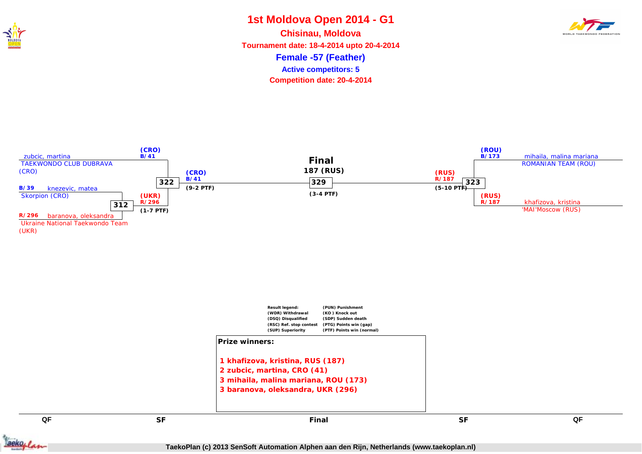

### **1st Moldova Open 2014 - G1 Female -57 (Feather) Chisinau, Moldova Tournament date: 18-4-2014 upto 20-4-2014 Active competitors: 5**

**Competition date: 20-4-2014**





(UKR)



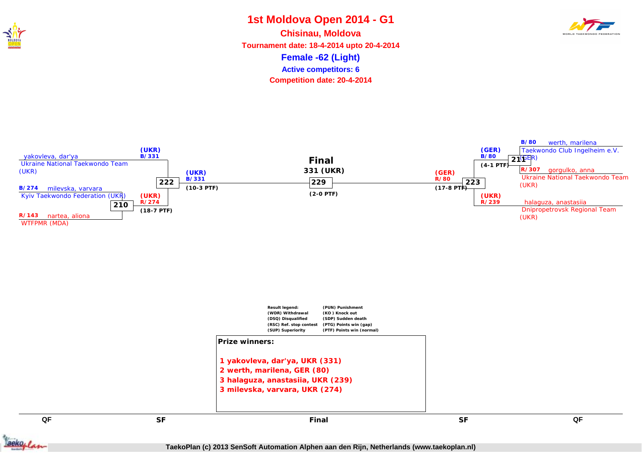

# **1st Moldova Open 2014 - G1 Female -62 (Light) Chisinau, Moldova Active competitors: 6**



**Tournament date: 18-4-2014 upto 20-4-2014 Competition date: 20-4-2014**





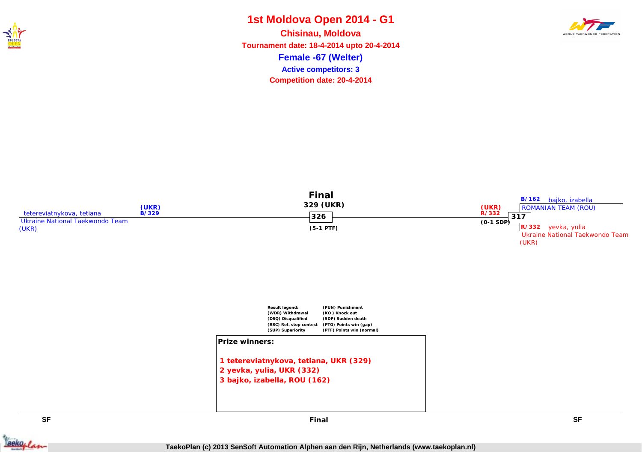

### **1st Moldova Open 2014 - G1 Female -67 (Welter) Chisinau, Moldova Tournament date: 18-4-2014 upto 20-4-2014 Active competitors: 3**

**Competition date: 20-4-2014**







**SF SF Final**